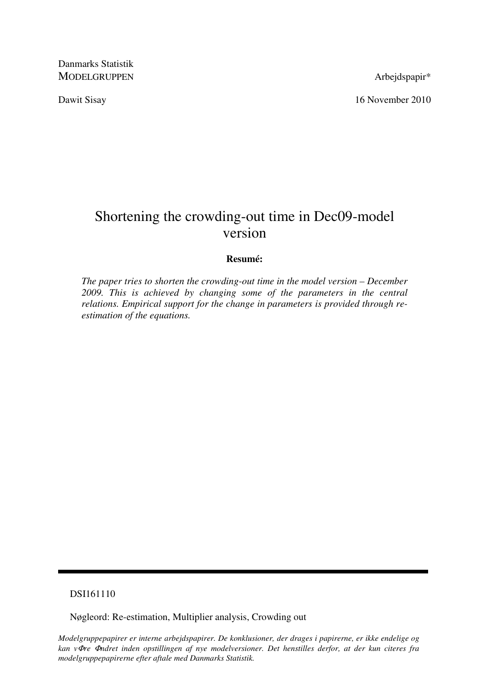Danmarks Statistik MODELGRUPPEN Arbejdspapir\*

Dawit Sisay 16 November 2010

# Shortening the crowding-out time in Dec09-model version

#### **Resumé:**

*The paper tries to shorten the crowding-out time in the model version – December 2009. This is achieved by changing some of the parameters in the central relations. Empirical support for the change in parameters is provided through reestimation of the equations.* 

#### DSI161110

Nøgleord: Re-estimation, Multiplier analysis, Crowding out

*Modelgruppepapirer er interne arbejdspapirer. De konklusioner, der drages i papirerne, er ikke endelige og kan v*Φ*re* Φ*ndret inden opstillingen af nye modelversioner. Det henstilles derfor, at der kun citeres fra modelgruppepapirerne efter aftale med Danmarks Statistik.*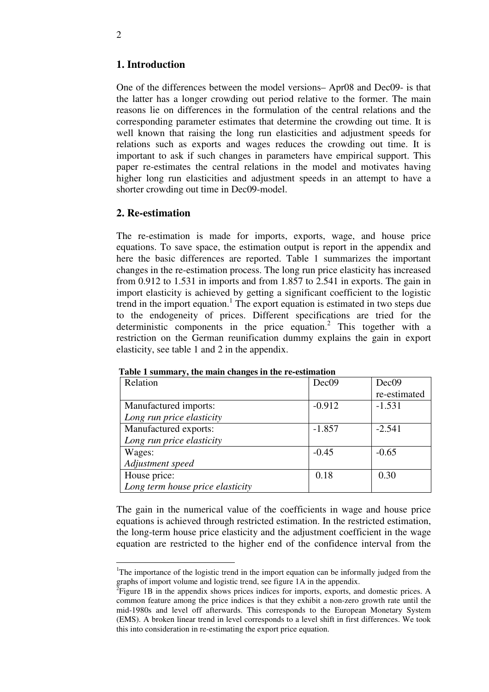#### **1. Introduction**

One of the differences between the model versions– Apr08 and Dec09- is that the latter has a longer crowding out period relative to the former. The main reasons lie on differences in the formulation of the central relations and the corresponding parameter estimates that determine the crowding out time. It is well known that raising the long run elasticities and adjustment speeds for relations such as exports and wages reduces the crowding out time. It is important to ask if such changes in parameters have empirical support. This paper re-estimates the central relations in the model and motivates having higher long run elasticities and adjustment speeds in an attempt to have a shorter crowding out time in Dec09-model.

#### **2. Re-estimation**

-

The re-estimation is made for imports, exports, wage, and house price equations. To save space, the estimation output is report in the appendix and here the basic differences are reported. Table 1 summarizes the important changes in the re-estimation process. The long run price elasticity has increased from 0.912 to 1.531 in imports and from 1.857 to 2.541 in exports. The gain in import elasticity is achieved by getting a significant coefficient to the logistic trend in the import equation.<sup>1</sup> The export equation is estimated in two steps due to the endogeneity of prices. Different specifications are tried for the deterministic components in the price equation.<sup>2</sup> This together with a restriction on the German reunification dummy explains the gain in export elasticity, see table 1 and 2 in the appendix.

| Relation                         | Dec <sub>09</sub> | Dec <sub>09</sub> |
|----------------------------------|-------------------|-------------------|
|                                  |                   | re-estimated      |
| Manufactured imports:            | $-0.912$          | $-1.531$          |
| Long run price elasticity        |                   |                   |
| Manufactured exports:            | $-1.857$          | $-2.541$          |
| Long run price elasticity        |                   |                   |
| Wages:                           | $-0.45$           | $-0.65$           |
| Adjustment speed                 |                   |                   |
| House price:                     | 0.18              | 0.30              |
| Long term house price elasticity |                   |                   |

 **Table 1 summary, the main changes in the re-estimation** 

The gain in the numerical value of the coefficients in wage and house price equations is achieved through restricted estimation. In the restricted estimation, the long-term house price elasticity and the adjustment coefficient in the wage equation are restricted to the higher end of the confidence interval from the

<sup>&</sup>lt;sup>1</sup>The importance of the logistic trend in the import equation can be informally judged from the graphs of import volume and logistic trend, see figure 1A in the appendix.

 ${}^{2}$ Figure 1B in the appendix shows prices indices for imports, exports, and domestic prices. A common feature among the price indices is that they exhibit a non-zero growth rate until the mid-1980s and level off afterwards. This corresponds to the European Monetary System (EMS). A broken linear trend in level corresponds to a level shift in first differences. We took this into consideration in re-estimating the export price equation.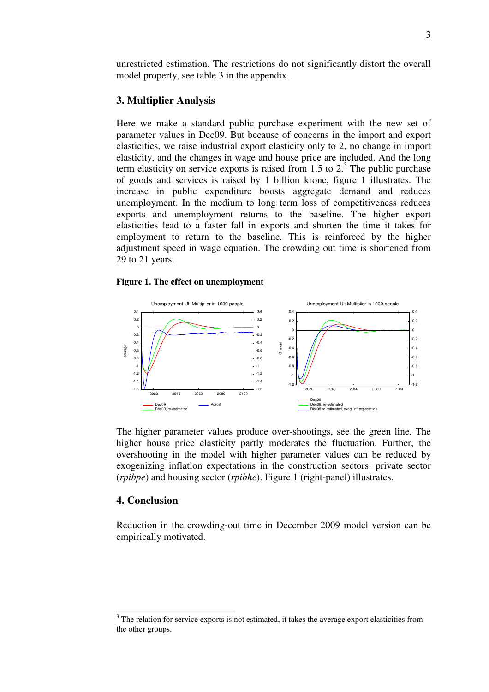unrestricted estimation. The restrictions do not significantly distort the overall model property, see table 3 in the appendix.

#### **3. Multiplier Analysis**

Here we make a standard public purchase experiment with the new set of parameter values in Dec09. But because of concerns in the import and export elasticities, we raise industrial export elasticity only to 2, no change in import elasticity, and the changes in wage and house price are included. And the long term elasticity on service exports is raised from 1.5 to  $2<sup>3</sup>$ . The public purchase of goods and services is raised by 1 billion krone, figure 1 illustrates. The increase in public expenditure boosts aggregate demand and reduces unemployment. In the medium to long term loss of competitiveness reduces exports and unemployment returns to the baseline. The higher export elasticities lead to a faster fall in exports and shorten the time it takes for employment to return to the baseline. This is reinforced by the higher adjustment speed in wage equation. The crowding out time is shortened from 29 to 21 years.

#### **Figure 1. The effect on unemployment**



The higher parameter values produce over-shootings, see the green line. The higher house price elasticity partly moderates the fluctuation. Further, the overshooting in the model with higher parameter values can be reduced by exogenizing inflation expectations in the construction sectors: private sector (*rpibpe*) and housing sector (*rpibhe*). Figure 1 (right-panel) illustrates.

#### **4. Conclusion**

<u>.</u>

Reduction in the crowding-out time in December 2009 model version can be empirically motivated.

 $3$  The relation for service exports is not estimated, it takes the average export elasticities from the other groups.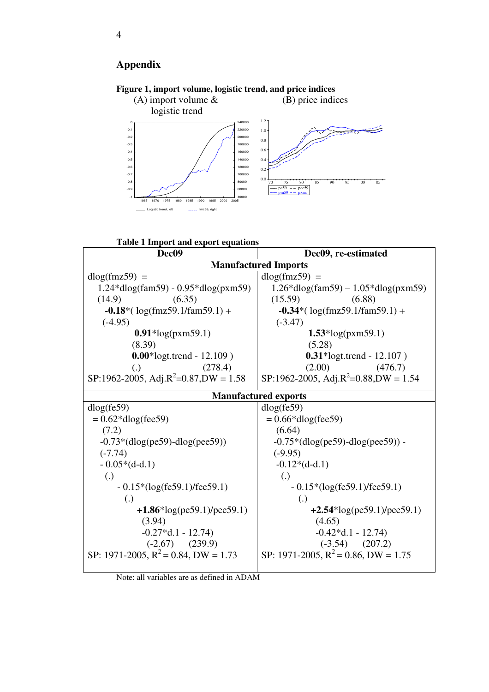## **Appendix**



### **Figure 1, import volume, logistic trend, and price indices**



| <b>Mandiactul cu Impolto</b>                     |                                                  |  |
|--------------------------------------------------|--------------------------------------------------|--|
| $dlog(fmz59) =$                                  | $dlog(fmz59) =$                                  |  |
| $1.24*dlog(fam59) - 0.95*dlog(pxm59)$            | $1.26*$ dlog(fam59) – $1.05*$ dlog(pxm59)        |  |
| (14.9)<br>(6.35)                                 | (15.59)<br>(6.88)                                |  |
| $-0.18*(\log(\text{fmz}59.1/\text{fm}59.1) +$    | $-0.34*(\log(\text{fmz}59.1/\text{fm}59.1) +$    |  |
| $(-4.95)$                                        | $(-3.47)$                                        |  |
| $0.91*log(pxm59.1)$                              | $1.53*log(pxm59.1)$                              |  |
| (8.39)                                           | (5.28)                                           |  |
| $0.00*$ logt.trend - 12.109)                     | $0.31*$ logt.trend - 12.107)                     |  |
| (278.4)<br>(.)                                   | (2.00)<br>(476.7)                                |  |
| SP:1962-2005, Adj.R <sup>2</sup> =0.87,DW = 1.58 | SP:1962-2005, Adj.R <sup>2</sup> =0.88,DW = 1.54 |  |
| <b>Manufactured exports</b>                      |                                                  |  |
| dlog(fe59)                                       | dlog(fe59)                                       |  |
| $= 0.62 * dlog(fee59)$                           | $= 0.66 * dlog(fee59)$                           |  |
| (7.2)                                            | (6.64)                                           |  |
| $-0.73*(dlog(pe59)-dlog(pe59))$                  | $-0.75*(dlog(pe59) - dlog(pe59)) -$              |  |
| $(-7.74)$                                        | $(-9.95)$                                        |  |
| $-0.05*(d-d.1)$                                  | $-0.12*(d-d.1)$                                  |  |
| $\left( .\right)$                                | $\left( .\right)$                                |  |
| $-0.15*(log(fe59.1)/fee59.1)$                    | $-0.15*(log(fe59.1)/fee59.1)$                    |  |
| $\left( .\right)$                                | $\left( .\right)$                                |  |
| $+1.86*log(pe59.1)/pee59.1)$                     | $+2.54*log(pe59.1)/pee59.1)$                     |  |
| (3.94)                                           | (4.65)                                           |  |
| $-0.27 * d.1 - 12.74$                            | $-0.42 * d.1 - 12.74$                            |  |
| $(-2.67)$ $(239.9)$                              | $(-3.54)$ $(207.2)$                              |  |
| SP: 1971-2005, $R^2 = 0.84$ , DW = 1.73          | SP: 1971-2005, $R^2 = 0.86$ , DW = 1.75          |  |
|                                                  |                                                  |  |

Note: all variables are as defined in ADAM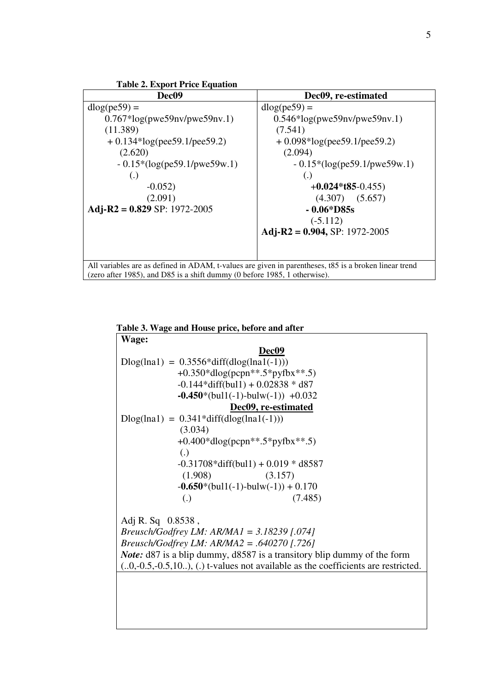

**Table 3. Wage and House price, before and after** 

| Wage:                                                                                      |  |  |
|--------------------------------------------------------------------------------------------|--|--|
| Dec09                                                                                      |  |  |
| $Dlog(lna1) = 0.3556 * diff(dlog(lna1(-1)))$                                               |  |  |
| +0.350*dlog(pcpn**.5*pyfbx**.5)                                                            |  |  |
| $-0.144*diff(bull) + 0.02838 * d87$                                                        |  |  |
| $-0.450*(bul1(-1)-bulw(-1)) +0.032$                                                        |  |  |
| Dec09, re-estimated                                                                        |  |  |
| $Dlog(lna1) = 0.341 * diff(dlog(lna1(-1)))$                                                |  |  |
| (3.034)                                                                                    |  |  |
| $+0.400*$ dlog(pcpn**.5*pyfbx**.5)                                                         |  |  |
| $\lambda$                                                                                  |  |  |
| $-0.31708*diff(bull) + 0.019* d8587$                                                       |  |  |
| (1.908)<br>(3.157)                                                                         |  |  |
| $-0.650*(bul1(-1)-bulw(-1))+0.170$                                                         |  |  |
| (7.485)<br>$\left( .\right)$                                                               |  |  |
|                                                                                            |  |  |
| Adj R. Sq $0.8538$ ,                                                                       |  |  |
| <i>Breusch/Godfrey LM: AR/MA1</i> = $3.18239$ [.074]                                       |  |  |
| <i>Breusch/Godfrey LM: AR/MA2 = .640270 [.726]</i>                                         |  |  |
| <i>Note:</i> d87 is a blip dummy, d8587 is a transitory blip dummy of the form             |  |  |
| $(0.0, -0.5, -0.5, 10.0)$ , (i) t-values not available as the coefficients are restricted. |  |  |
|                                                                                            |  |  |
|                                                                                            |  |  |
|                                                                                            |  |  |